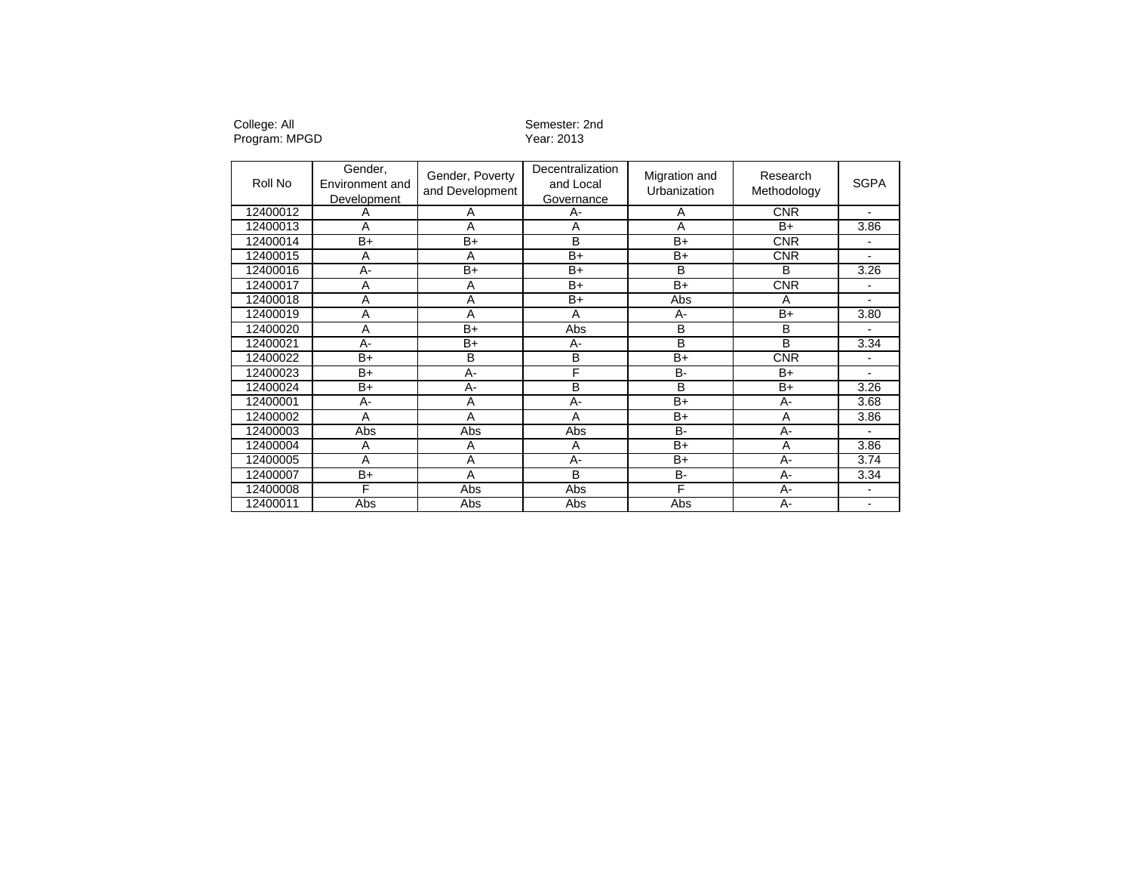Program: MPGD Year: 2013

## College: All Semester: 2nd

| Roll No  | Gender,<br>Environment and<br>Development | Gender, Poverty<br>and Development | <b>Decentralization</b><br>and Local<br>Governance | Migration and<br>Urbanization | Research<br>Methodology | <b>SGPA</b>              |
|----------|-------------------------------------------|------------------------------------|----------------------------------------------------|-------------------------------|-------------------------|--------------------------|
| 12400012 | Α                                         | Α                                  | А-                                                 | A                             | <b>CNR</b>              |                          |
| 12400013 | A                                         | A                                  | A                                                  | $\overline{A}$                | $B+$                    | 3.86                     |
| 12400014 | $B+$                                      | B+                                 | B                                                  | B+                            | <b>CNR</b>              |                          |
| 12400015 | A                                         | Α                                  | $B+$                                               | B+                            | <b>CNR</b>              | ٠                        |
| 12400016 | А-                                        | B+                                 | $B+$                                               | B                             | B                       | 3.26                     |
| 12400017 | Α                                         | Α                                  | B+                                                 | B+                            | <b>CNR</b>              |                          |
| 12400018 | Α                                         | Α                                  | $B+$                                               | Abs                           | A                       |                          |
| 12400019 | A                                         | A                                  | А                                                  | $A -$                         | B+                      | 3.80                     |
| 12400020 | A                                         | B+                                 | Abs                                                | B                             | B                       |                          |
| 12400021 | A-                                        | B+                                 | $A -$                                              | B                             | B                       | 3.34                     |
| 12400022 | $B+$                                      | B                                  | B                                                  | $B+$                          | <b>CNR</b>              |                          |
| 12400023 | $B+$                                      | A-                                 | F                                                  | $B -$                         | B+                      |                          |
| 12400024 | $B+$                                      | $A -$                              | B                                                  | B                             | $B+$                    | 3.26                     |
| 12400001 | $A -$                                     | A                                  | A-                                                 | $B+$                          | $A -$                   | 3.68                     |
| 12400002 | A                                         | Α                                  | A                                                  | B+                            | A                       | 3.86                     |
| 12400003 | Abs                                       | Abs                                | Abs                                                | $B -$                         | A-                      |                          |
| 12400004 | Α                                         | Α                                  | Α                                                  | B+                            | Α                       | 3.86                     |
| 12400005 | Α                                         | Α                                  | $A -$                                              | B+                            | A-                      | 3.74                     |
| 12400007 | B+                                        | Α                                  | B                                                  | B-                            | A-                      | 3.34                     |
| 12400008 | F                                         | Abs                                | Abs                                                | F                             | $A -$                   | $\overline{\phantom{0}}$ |
| 12400011 | Abs                                       | Abs                                | Abs                                                | Abs                           | $A -$                   |                          |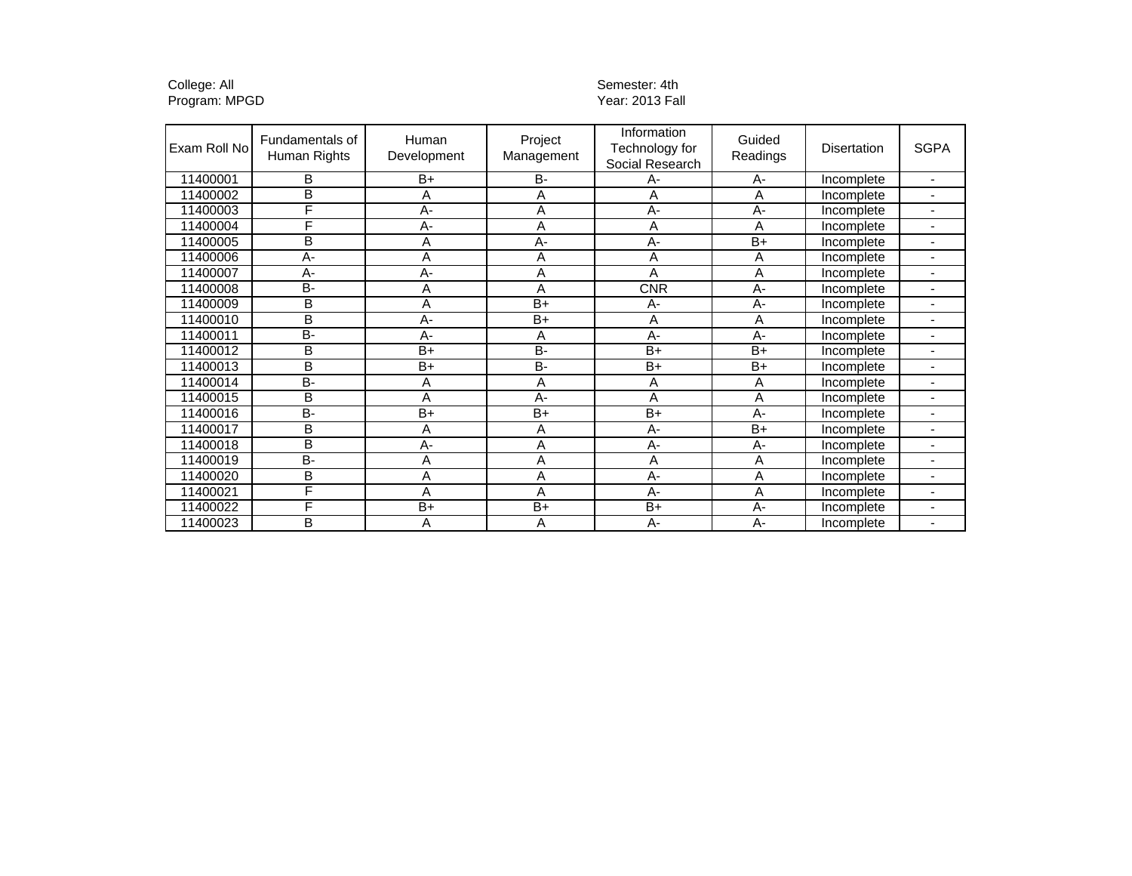College: All Semester: 4th Semester: 4th Semester: 4th Semester: 4th Semester: 4th Semester: 4th Semester: 4th Program: MPGD Year: 2013 Fall

| Exam Roll No | Fundamentals of<br>Human Rights | Human<br>Development | Project<br>Management | Information<br>Technology for<br>Social Research | Guided<br>Readings | Disertation | <b>SGPA</b>              |
|--------------|---------------------------------|----------------------|-----------------------|--------------------------------------------------|--------------------|-------------|--------------------------|
| 11400001     | в                               | $B+$                 | B-                    | А-                                               | A-                 | Incomplete  |                          |
| 11400002     | B                               | A                    | A                     | A                                                | A                  | Incomplete  |                          |
| 11400003     | F                               | $A -$                | A                     | $A -$                                            | $A -$              | Incomplete  |                          |
| 11400004     | F                               | $A -$                | A                     | A                                                | A                  | Incomplete  |                          |
| 11400005     | B                               | Α                    | $A -$                 | A-                                               | $B+$               | Incomplete  |                          |
| 11400006     | А-                              | Α                    | Α                     | Α                                                | A                  | Incomplete  | $\blacksquare$           |
| 11400007     | $A -$                           | A-                   | Α                     | A                                                | A                  | Incomplete  | $\blacksquare$           |
| 11400008     | <b>B-</b>                       | A                    | A                     | <b>CNR</b>                                       | $A -$              | Incomplete  | $\overline{\phantom{0}}$ |
| 11400009     | B                               | A                    | $B+$                  | A-                                               | A-                 | Incomplete  |                          |
| 11400010     | B                               | $A -$                | $B+$                  | A                                                | A                  | Incomplete  |                          |
| 11400011     | <b>B-</b>                       | А-                   | Α                     | A-                                               | A-                 | Incomplete  |                          |
| 11400012     | B                               | $B+$                 | B-                    | $B+$                                             | $B+$               | Incomplete  |                          |
| 11400013     | B                               | $B+$                 | <b>B-</b>             | $B+$                                             | $B+$               | Incomplete  |                          |
| 11400014     | <b>B-</b>                       | Α                    | A                     | A                                                | A                  | Incomplete  | $\blacksquare$           |
| 11400015     | B                               | A                    | $A -$                 | A                                                | Α                  | Incomplete  | $\blacksquare$           |
| 11400016     | B-                              | $B+$                 | $B+$                  | $B+$                                             | $A -$              | Incomplete  | $\overline{\phantom{0}}$ |
| 11400017     | B                               | A                    | A                     | $A -$                                            | $B+$               | Incomplete  |                          |
| 11400018     | B                               | А-                   | A                     | A-                                               | A-                 | Incomplete  |                          |
| 11400019     | <b>B-</b>                       | Α                    | Α                     | A                                                | Α                  | Incomplete  |                          |
| 11400020     | B                               | Α                    | Α                     | A-                                               | A                  | Incomplete  |                          |
| 11400021     | F                               | A                    | A                     | $A -$                                            | A                  | Incomplete  |                          |
| 11400022     | F                               | $B+$                 | $B+$                  | $B+$                                             | A-                 | Incomplete  |                          |
| 11400023     | B                               | Α                    | Α                     | $A -$                                            | $A -$              | Incomplete  | $\overline{\phantom{0}}$ |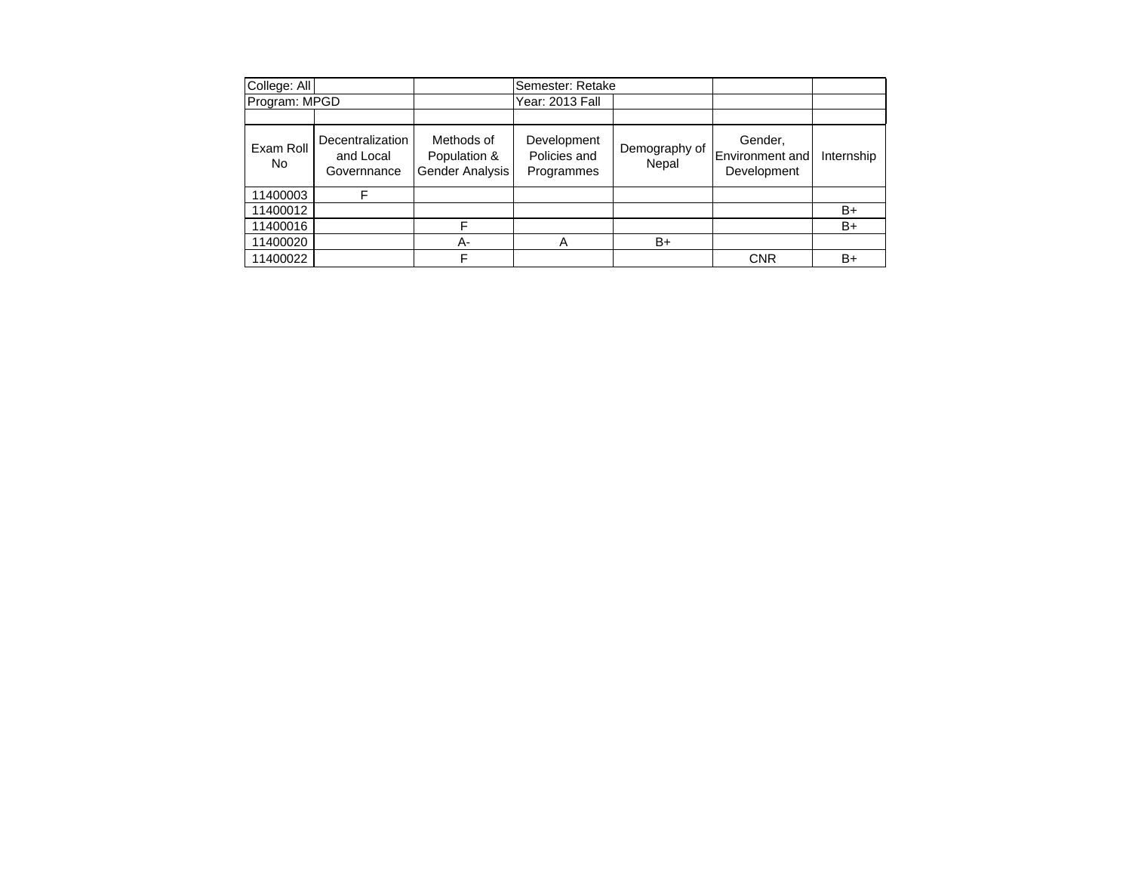| College: All    |                                              |                                               | Semester: Retake                          |                        |                                                  |            |
|-----------------|----------------------------------------------|-----------------------------------------------|-------------------------------------------|------------------------|--------------------------------------------------|------------|
| Program: MPGD   |                                              |                                               | Year: 2013 Fall                           |                        |                                                  |            |
|                 |                                              |                                               |                                           |                        |                                                  |            |
| Exam Roll<br>No | Decentralization<br>and Local<br>Governnance | Methods of<br>Population &<br>Gender Analysis | Development<br>Policies and<br>Programmes | Demography of<br>Nepal | Gender,<br><b>Environment</b> and<br>Development | Internship |
| 11400003        | F                                            |                                               |                                           |                        |                                                  |            |
| 11400012        |                                              |                                               |                                           |                        |                                                  | B+         |
| 11400016        |                                              | F                                             |                                           |                        |                                                  | B+         |
| 11400020        |                                              | А-                                            |                                           | B+                     |                                                  |            |
| 11400022        |                                              | F                                             |                                           |                        | <b>CNR</b>                                       | B+         |